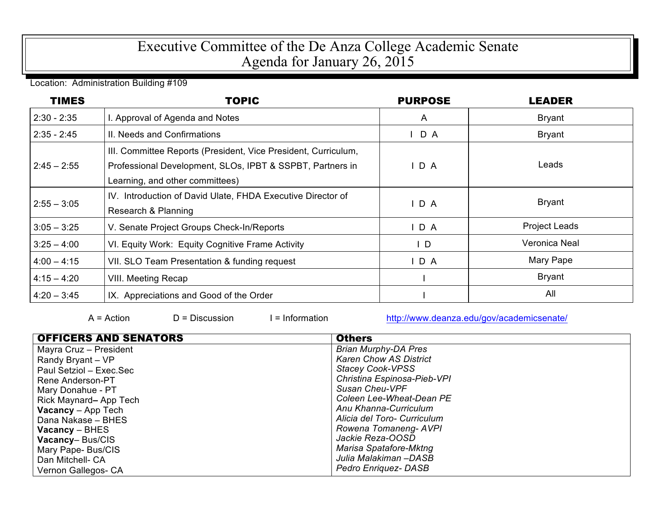## Executive Committee of the De Anza College Academic Senate Agenda for January 26, 2015

Location: Administration Building #109

| <b>TIMES</b>  | <b>TOPIC</b>                                                                                                                                                   | <b>PURPOSE</b> | <b>LEADER</b>        |
|---------------|----------------------------------------------------------------------------------------------------------------------------------------------------------------|----------------|----------------------|
| $2:30 - 2:35$ | I. Approval of Agenda and Notes                                                                                                                                | $\mathsf{A}$   | <b>Bryant</b>        |
| $2:35 - 2:45$ | II. Needs and Confirmations                                                                                                                                    | D A            | <b>Bryant</b>        |
| $2:45 - 2:55$ | III. Committee Reports (President, Vice President, Curriculum,<br>Professional Development, SLOs, IPBT & SSPBT, Partners in<br>Learning, and other committees) | IDA            | Leads                |
| $2:55 - 3:05$ | IV. Introduction of David Ulate, FHDA Executive Director of<br>Research & Planning                                                                             | $I$ D A        | <b>Bryant</b>        |
| $3:05 - 3:25$ | V. Senate Project Groups Check-In/Reports                                                                                                                      | $I$ D A        | <b>Project Leads</b> |
| $3:25 - 4:00$ | VI. Equity Work: Equity Cognitive Frame Activity                                                                                                               | $\mathsf{I}$ D | Veronica Neal        |
| $4:00 - 4:15$ | VII. SLO Team Presentation & funding request                                                                                                                   | $I$ D A        | Mary Pape            |
| $4:15 - 4:20$ | <b>VIII. Meeting Recap</b>                                                                                                                                     |                | <b>Bryant</b>        |
| $4:20 - 3:45$ | IX. Appreciations and Good of the Order                                                                                                                        |                | All                  |

A = Action D = Discussion I = Information http://www.deanza.edu/gov/academicsenate/

| <b>OFFICERS AND SENATORS</b> | <b>Others</b>                 |
|------------------------------|-------------------------------|
| Mayra Cruz - President       | <b>Brian Murphy-DA Pres</b>   |
| Randy Bryant - VP            | <b>Karen Chow AS District</b> |
| Paul Setziol - Exec.Sec      | <b>Stacey Cook-VPSS</b>       |
| Rene Anderson-PT             | Christina Espinosa-Pieb-VPI   |
| Mary Donahue - PT            | Susan Cheu-VPF                |
| Rick Maynard-App Tech        | Coleen Lee-Wheat-Dean PE      |
| <b>Vacancy</b> $-$ App Tech  | Anu Khanna-Curriculum         |
| Dana Nakase - BHES           | Alicia del Toro- Curriculum   |
| $Vacancy - BHES$             | Rowena Tomaneng-AVPI          |
| <b>Vacancy-Bus/CIS</b>       | Jackie Reza-OOSD              |
| Mary Pape- Bus/CIS           | Marisa Spatafore-Mktng        |
| Dan Mitchell- CA             | Julia Malakiman –DASB         |
| Vernon Gallegos- CA          | <b>Pedro Enriquez-DASB</b>    |